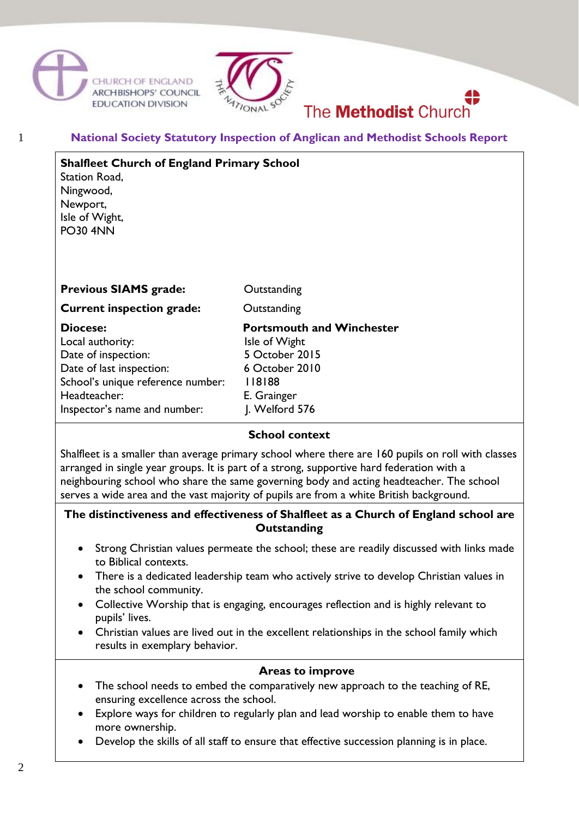





### 1 **National Society Statutory Inspection of Anglican and Methodist Schools Report**

| <b>Shalfleet Church of England Primary School</b><br>Station Road,<br>Ningwood,<br>Newport,<br>Isle of Wight,<br><b>PO30 4NN</b>                                     |                                                                                                                                  |
|----------------------------------------------------------------------------------------------------------------------------------------------------------------------|----------------------------------------------------------------------------------------------------------------------------------|
| <b>Previous SIAMS grade:</b>                                                                                                                                         | Outstanding                                                                                                                      |
| <b>Current inspection grade:</b>                                                                                                                                     | Outstanding                                                                                                                      |
| Diocese:<br>Local authority:<br>Date of inspection:<br>Date of last inspection:<br>School's unique reference number:<br>Headteacher:<br>Inspector's name and number: | <b>Portsmouth and Winchester</b><br>Isle of Wight<br>5 October 2015<br>6 October 2010<br>118188<br>E. Grainger<br>J. Welford 576 |

# **School context**

Shalfleet is a smaller than average primary school where there are 160 pupils on roll with classes arranged in single year groups. It is part of a strong, supportive hard federation with a neighbouring school who share the same governing body and acting headteacher. The school serves a wide area and the vast majority of pupils are from a white British background.

### **The distinctiveness and effectiveness of Shalfleet as a Church of England school are Outstanding**

- Strong Christian values permeate the school; these are readily discussed with links made to Biblical contexts.
- There is a dedicated leadership team who actively strive to develop Christian values in the school community.
- Collective Worship that is engaging, encourages reflection and is highly relevant to pupils' lives.
- Christian values are lived out in the excellent relationships in the school family which results in exemplary behavior.

### **Areas to improve**

- The school needs to embed the comparatively new approach to the teaching of RE, ensuring excellence across the school.
- Explore ways for children to regularly plan and lead worship to enable them to have more ownership.
- Develop the skills of all staff to ensure that effective succession planning is in place.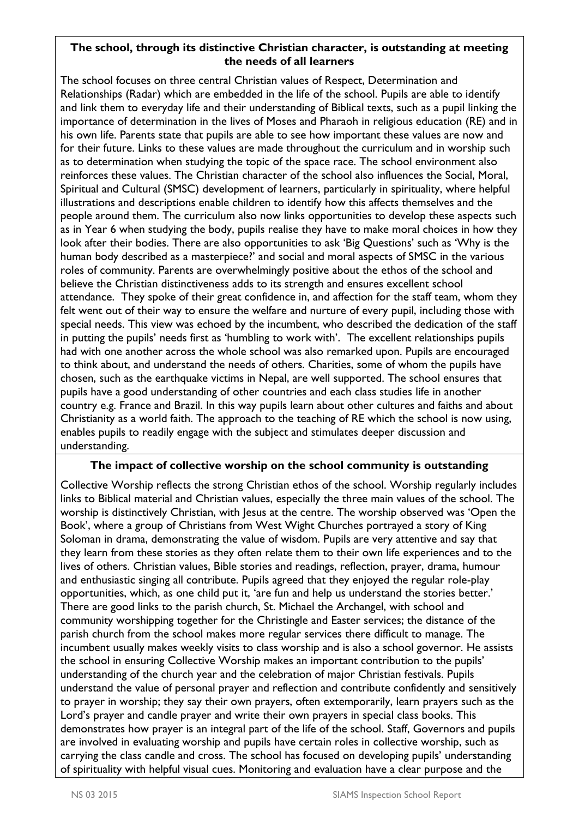## **The school, through its distinctive Christian character, is outstanding at meeting the needs of all learners**

The school focuses on three central Christian values of Respect, Determination and Relationships (Radar) which are embedded in the life of the school. Pupils are able to identify and link them to everyday life and their understanding of Biblical texts, such as a pupil linking the importance of determination in the lives of Moses and Pharaoh in religious education (RE) and in his own life. Parents state that pupils are able to see how important these values are now and for their future. Links to these values are made throughout the curriculum and in worship such as to determination when studying the topic of the space race. The school environment also reinforces these values. The Christian character of the school also influences the Social, Moral, Spiritual and Cultural (SMSC) development of learners, particularly in spirituality, where helpful illustrations and descriptions enable children to identify how this affects themselves and the people around them. The curriculum also now links opportunities to develop these aspects such as in Year 6 when studying the body, pupils realise they have to make moral choices in how they look after their bodies. There are also opportunities to ask 'Big Questions' such as 'Why is the human body described as a masterpiece?' and social and moral aspects of SMSC in the various roles of community. Parents are overwhelmingly positive about the ethos of the school and believe the Christian distinctiveness adds to its strength and ensures excellent school attendance. They spoke of their great confidence in, and affection for the staff team, whom they felt went out of their way to ensure the welfare and nurture of every pupil, including those with special needs. This view was echoed by the incumbent, who described the dedication of the staff in putting the pupils' needs first as 'humbling to work with'. The excellent relationships pupils had with one another across the whole school was also remarked upon. Pupils are encouraged to think about, and understand the needs of others. Charities, some of whom the pupils have chosen, such as the earthquake victims in Nepal, are well supported. The school ensures that pupils have a good understanding of other countries and each class studies life in another country e.g. France and Brazil. In this way pupils learn about other cultures and faiths and about Christianity as a world faith. The approach to the teaching of RE which the school is now using, enables pupils to readily engage with the subject and stimulates deeper discussion and understanding.

### **The impact of collective worship on the school community is outstanding**

Collective Worship reflects the strong Christian ethos of the school. Worship regularly includes links to Biblical material and Christian values, especially the three main values of the school. The worship is distinctively Christian, with Jesus at the centre. The worship observed was 'Open the Book', where a group of Christians from West Wight Churches portrayed a story of King Soloman in drama, demonstrating the value of wisdom. Pupils are very attentive and say that they learn from these stories as they often relate them to their own life experiences and to the lives of others. Christian values, Bible stories and readings, reflection, prayer, drama, humour and enthusiastic singing all contribute. Pupils agreed that they enjoyed the regular role-play opportunities, which, as one child put it, 'are fun and help us understand the stories better.' There are good links to the parish church, St. Michael the Archangel, with school and community worshipping together for the Christingle and Easter services; the distance of the parish church from the school makes more regular services there difficult to manage. The incumbent usually makes weekly visits to class worship and is also a school governor. He assists the school in ensuring Collective Worship makes an important contribution to the pupils' understanding of the church year and the celebration of major Christian festivals. Pupils understand the value of personal prayer and reflection and contribute confidently and sensitively to prayer in worship; they say their own prayers, often extemporarily, learn prayers such as the Lord's prayer and candle prayer and write their own prayers in special class books. This demonstrates how prayer is an integral part of the life of the school. Staff, Governors and pupils are involved in evaluating worship and pupils have certain roles in collective worship, such as carrying the class candle and cross. The school has focused on developing pupils' understanding of spirituality with helpful visual cues. Monitoring and evaluation have a clear purpose and the